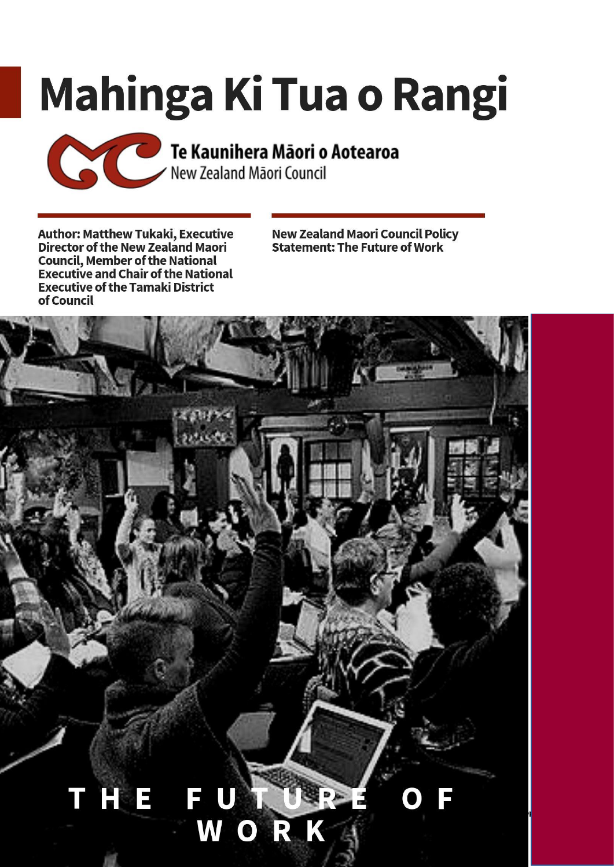# Mahinga Ki Tua o Rangi



**Author: Matthew Tukaki, Executive Director of the New Zealand Maori Council, Member of the National<br>Executive and Chair of the National Executive of the Tamaki District** of Council

**New Zealand Maori Council Policy<br>Statement: The Future of Work** 

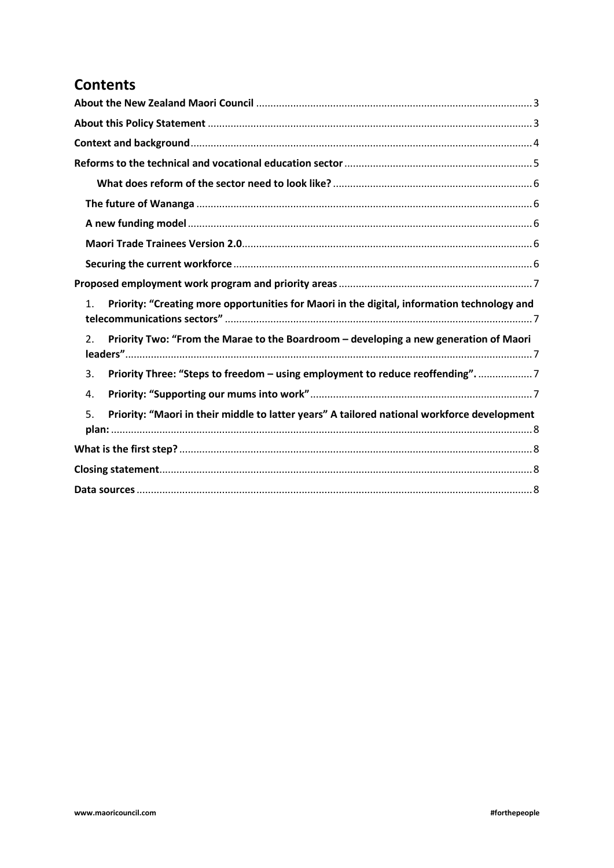# **Contents**

| Priority: "Creating more opportunities for Maori in the digital, information technology and<br>1. |
|---------------------------------------------------------------------------------------------------|
| Priority Two: "From the Marae to the Boardroom – developing a new generation of Maori<br>2.       |
| Priority Three: "Steps to freedom - using employment to reduce reoffending"7<br>3.                |
| 4.                                                                                                |
| Priority: "Maori in their middle to latter years" A tailored national workforce development<br>5. |
|                                                                                                   |
|                                                                                                   |
|                                                                                                   |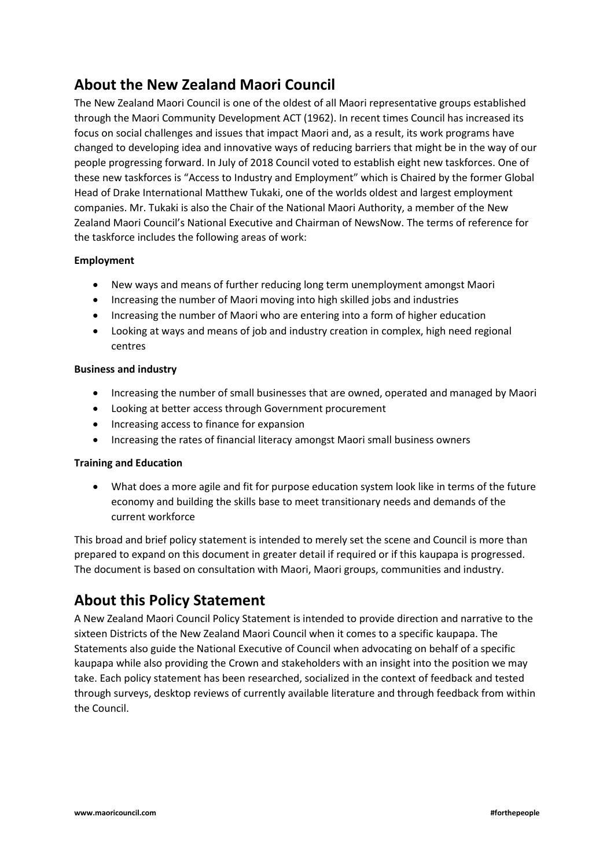# <span id="page-2-0"></span>**About the New Zealand Maori Council**

The New Zealand Maori Council is one of the oldest of all Maori representative groups established through the Maori Community Development ACT (1962). In recent times Council has increased its focus on social challenges and issues that impact Maori and, as a result, its work programs have changed to developing idea and innovative ways of reducing barriers that might be in the way of our people progressing forward. In July of 2018 Council voted to establish eight new taskforces. One of these new taskforces is "Access to Industry and Employment" which is Chaired by the former Global Head of Drake International Matthew Tukaki, one of the worlds oldest and largest employment companies. Mr. Tukaki is also the Chair of the National Maori Authority, a member of the New Zealand Maori Council's National Executive and Chairman of NewsNow. The terms of reference for the taskforce includes the following areas of work:

## **Employment**

- New ways and means of further reducing long term unemployment amongst Maori
- Increasing the number of Maori moving into high skilled jobs and industries
- Increasing the number of Maori who are entering into a form of higher education
- Looking at ways and means of job and industry creation in complex, high need regional centres

## **Business and industry**

- Increasing the number of small businesses that are owned, operated and managed by Maori
- Looking at better access through Government procurement
- Increasing access to finance for expansion
- Increasing the rates of financial literacy amongst Maori small business owners

## **Training and Education**

• What does a more agile and fit for purpose education system look like in terms of the future economy and building the skills base to meet transitionary needs and demands of the current workforce

This broad and brief policy statement is intended to merely set the scene and Council is more than prepared to expand on this document in greater detail if required or if this kaupapa is progressed. The document is based on consultation with Maori, Maori groups, communities and industry.

## <span id="page-2-1"></span>**About this Policy Statement**

A New Zealand Maori Council Policy Statement is intended to provide direction and narrative to the sixteen Districts of the New Zealand Maori Council when it comes to a specific kaupapa. The Statements also guide the National Executive of Council when advocating on behalf of a specific kaupapa while also providing the Crown and stakeholders with an insight into the position we may take. Each policy statement has been researched, socialized in the context of feedback and tested through surveys, desktop reviews of currently available literature and through feedback from within the Council.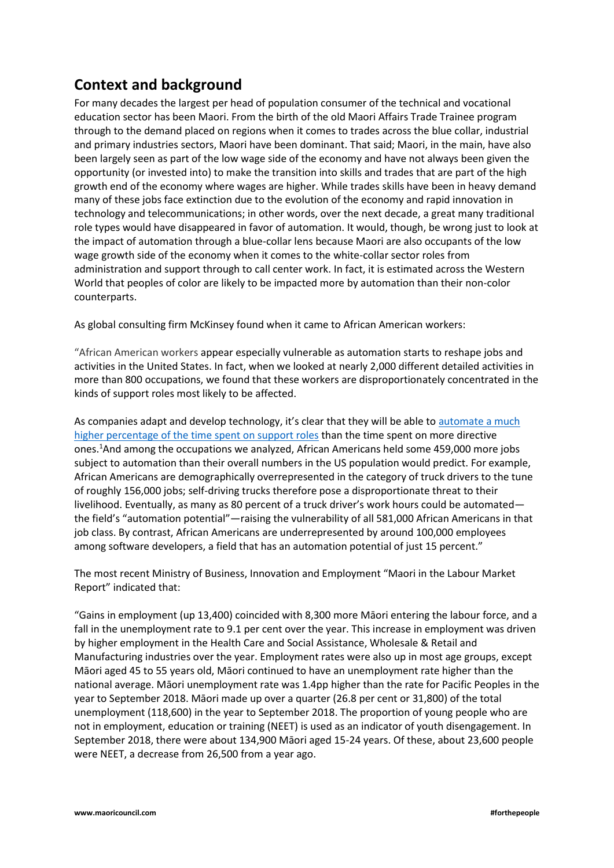## <span id="page-3-0"></span>**Context and background**

For many decades the largest per head of population consumer of the technical and vocational education sector has been Maori. From the birth of the old Maori Affairs Trade Trainee program through to the demand placed on regions when it comes to trades across the blue collar, industrial and primary industries sectors, Maori have been dominant. That said; Maori, in the main, have also been largely seen as part of the low wage side of the economy and have not always been given the opportunity (or invested into) to make the transition into skills and trades that are part of the high growth end of the economy where wages are higher. While trades skills have been in heavy demand many of these jobs face extinction due to the evolution of the economy and rapid innovation in technology and telecommunications; in other words, over the next decade, a great many traditional role types would have disappeared in favor of automation. It would, though, be wrong just to look at the impact of automation through a blue-collar lens because Maori are also occupants of the low wage growth side of the economy when it comes to the white-collar sector roles from administration and support through to call center work. In fact, it is estimated across the Western World that peoples of color are likely to be impacted more by automation than their non-color counterparts.

As global consulting firm McKinsey found when it came to African American workers:

"African American workers appear especially vulnerable as automation starts to reshape jobs and activities in the United States. In fact, when we looked at nearly 2,000 different detailed activities in more than 800 occupations, we found that these workers are disproportionately concentrated in the kinds of support roles most likely to be affected.

As companies adapt and develop technology, it's clear that they will be able to automate a much [higher percentage of the time spent on support roles](https://www.mckinsey.com/featured-insights/future-of-work/how-will-automation-affect-jobs-skills-and-wages) than the time spent on more directive ones.<sup>1</sup>And among the occupations we analyzed, African Americans held some 459,000 more jobs subject to automation than their overall numbers in the US population would predict. For example, African Americans are demographically overrepresented in the category of truck drivers to the tune of roughly 156,000 jobs; self-driving trucks therefore pose a disproportionate threat to their livelihood. Eventually, as many as 80 percent of a truck driver's work hours could be automated the field's "automation potential"—raising the vulnerability of all 581,000 African Americans in that job class. By contrast, African Americans are underrepresented by around 100,000 employees among software developers, a field that has an automation potential of just 15 percent."

The most recent Ministry of Business, Innovation and Employment "Maori in the Labour Market Report" indicated that:

"Gains in employment (up 13,400) coincided with 8,300 more Māori entering the labour force, and a fall in the unemployment rate to 9.1 per cent over the year. This increase in employment was driven by higher employment in the Health Care and Social Assistance, Wholesale & Retail and Manufacturing industries over the year. Employment rates were also up in most age groups, except Māori aged 45 to 55 years old, Māori continued to have an unemployment rate higher than the national average. Māori unemployment rate was 1.4pp higher than the rate for Pacific Peoples in the year to September 2018. Māori made up over a quarter (26.8 per cent or 31,800) of the total unemployment (118,600) in the year to September 2018. The proportion of young people who are not in employment, education or training (NEET) is used as an indicator of youth disengagement. In September 2018, there were about 134,900 Māori aged 15-24 years. Of these, about 23,600 people were NEET, a decrease from 26,500 from a year ago.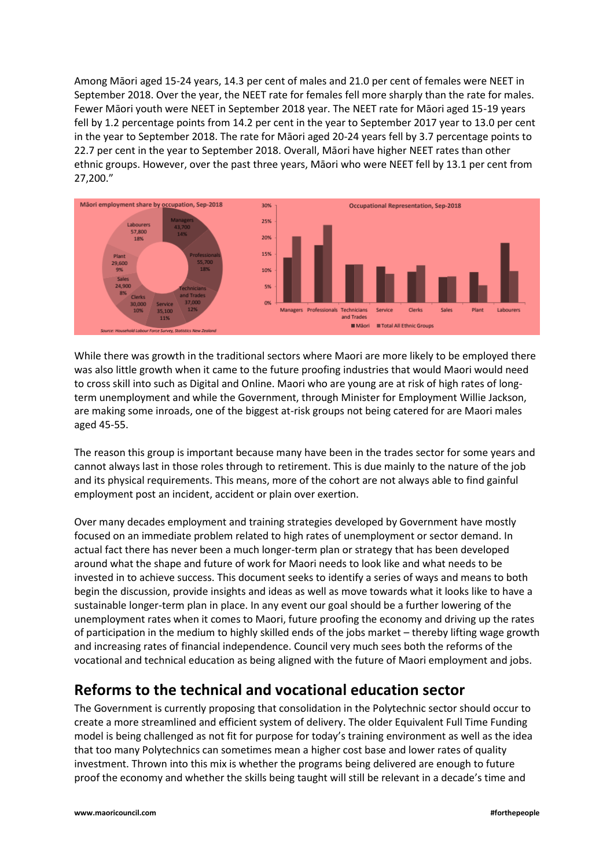Among Māori aged 15-24 years, 14.3 per cent of males and 21.0 per cent of females were NEET in September 2018. Over the year, the NEET rate for females fell more sharply than the rate for males. Fewer Māori youth were NEET in September 2018 year. The NEET rate for Māori aged 15-19 years fell by 1.2 percentage points from 14.2 per cent in the year to September 2017 year to 13.0 per cent in the year to September 2018. The rate for Māori aged 20-24 years fell by 3.7 percentage points to 22.7 per cent in the year to September 2018. Overall, Māori have higher NEET rates than other ethnic groups. However, over the past three years, Māori who were NEET fell by 13.1 per cent from 27,200."



While there was growth in the traditional sectors where Maori are more likely to be employed there was also little growth when it came to the future proofing industries that would Maori would need to cross skill into such as Digital and Online. Maori who are young are at risk of high rates of longterm unemployment and while the Government, through Minister for Employment Willie Jackson, are making some inroads, one of the biggest at-risk groups not being catered for are Maori males aged 45-55.

The reason this group is important because many have been in the trades sector for some years and cannot always last in those roles through to retirement. This is due mainly to the nature of the job and its physical requirements. This means, more of the cohort are not always able to find gainful employment post an incident, accident or plain over exertion.

Over many decades employment and training strategies developed by Government have mostly focused on an immediate problem related to high rates of unemployment or sector demand. In actual fact there has never been a much longer-term plan or strategy that has been developed around what the shape and future of work for Maori needs to look like and what needs to be invested in to achieve success. This document seeks to identify a series of ways and means to both begin the discussion, provide insights and ideas as well as move towards what it looks like to have a sustainable longer-term plan in place. In any event our goal should be a further lowering of the unemployment rates when it comes to Maori, future proofing the economy and driving up the rates of participation in the medium to highly skilled ends of the jobs market – thereby lifting wage growth and increasing rates of financial independence. Council very much sees both the reforms of the vocational and technical education as being aligned with the future of Maori employment and jobs.

## <span id="page-4-0"></span>**Reforms to the technical and vocational education sector**

The Government is currently proposing that consolidation in the Polytechnic sector should occur to create a more streamlined and efficient system of delivery. The older Equivalent Full Time Funding model is being challenged as not fit for purpose for today's training environment as well as the idea that too many Polytechnics can sometimes mean a higher cost base and lower rates of quality investment. Thrown into this mix is whether the programs being delivered are enough to future proof the economy and whether the skills being taught will still be relevant in a decade's time and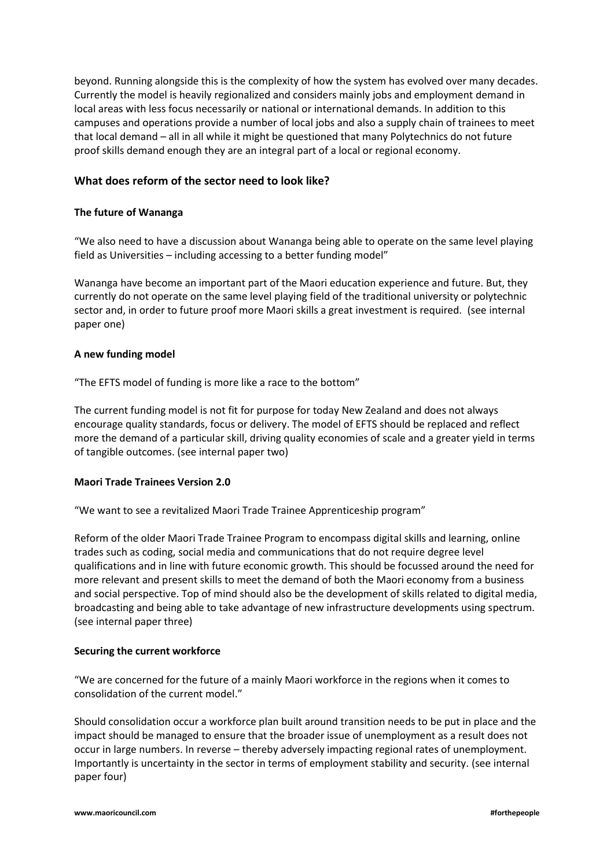beyond. Running alongside this is the complexity of how the system has evolved over many decades. Currently the model is heavily regionalized and considers mainly jobs and employment demand in local areas with less focus necessarily or national or international demands. In addition to this campuses and operations provide a number of local jobs and also a supply chain of trainees to meet that local demand – all in all while it might be questioned that many Polytechnics do not future proof skills demand enough they are an integral part of a local or regional economy.

## <span id="page-5-0"></span>**What does reform of the sector need to look like?**

#### <span id="page-5-1"></span>**The future of Wananga**

"We also need to have a discussion about Wananga being able to operate on the same level playing field as Universities – including accessing to a better funding model"

Wananga have become an important part of the Maori education experience and future. But, they currently do not operate on the same level playing field of the traditional university or polytechnic sector and, in order to future proof more Maori skills a great investment is required. (see internal paper one)

#### <span id="page-5-2"></span>**A new funding model**

"The EFTS model of funding is more like a race to the bottom"

The current funding model is not fit for purpose for today New Zealand and does not always encourage quality standards, focus or delivery. The model of EFTS should be replaced and reflect more the demand of a particular skill, driving quality economies of scale and a greater yield in terms of tangible outcomes. (see internal paper two)

#### <span id="page-5-3"></span>**Maori Trade Trainees Version 2.0**

"We want to see a revitalized Maori Trade Trainee Apprenticeship program"

Reform of the older Maori Trade Trainee Program to encompass digital skills and learning, online trades such as coding, social media and communications that do not require degree level qualifications and in line with future economic growth. This should be focussed around the need for more relevant and present skills to meet the demand of both the Maori economy from a business and social perspective. Top of mind should also be the development of skills related to digital media, broadcasting and being able to take advantage of new infrastructure developments using spectrum. (see internal paper three)

#### <span id="page-5-4"></span>**Securing the current workforce**

"We are concerned for the future of a mainly Maori workforce in the regions when it comes to consolidation of the current model."

Should consolidation occur a workforce plan built around transition needs to be put in place and the impact should be managed to ensure that the broader issue of unemployment as a result does not occur in large numbers. In reverse – thereby adversely impacting regional rates of unemployment. Importantly is uncertainty in the sector in terms of employment stability and security. (see internal paper four)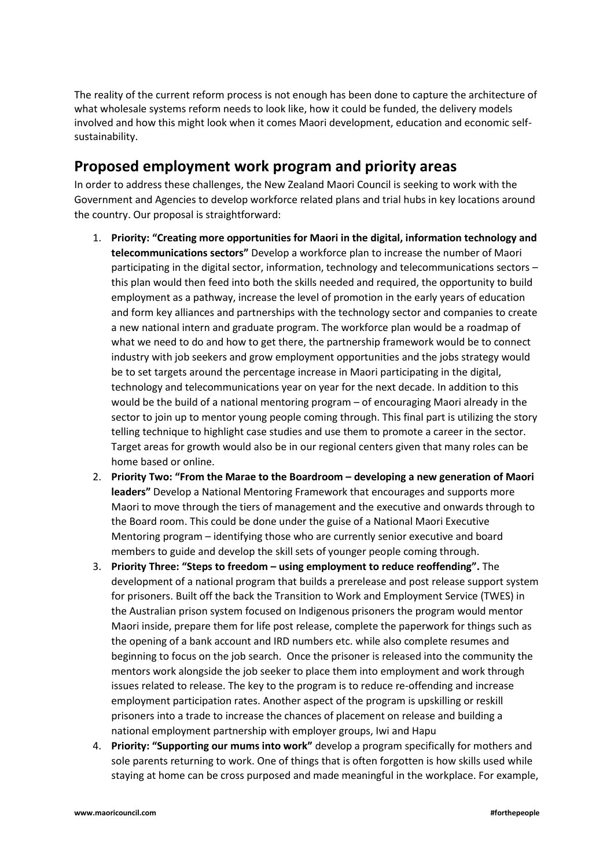The reality of the current reform process is not enough has been done to capture the architecture of what wholesale systems reform needs to look like, how it could be funded, the delivery models involved and how this might look when it comes Maori development, education and economic selfsustainability.

## <span id="page-6-0"></span>**Proposed employment work program and priority areas**

In order to address these challenges, the New Zealand Maori Council is seeking to work with the Government and Agencies to develop workforce related plans and trial hubs in key locations around the country. Our proposal is straightforward:

- <span id="page-6-1"></span>1. **Priority: "Creating more opportunities for Maori in the digital, information technology and telecommunications sectors"** Develop a workforce plan to increase the number of Maori participating in the digital sector, information, technology and telecommunications sectors – this plan would then feed into both the skills needed and required, the opportunity to build employment as a pathway, increase the level of promotion in the early years of education and form key alliances and partnerships with the technology sector and companies to create a new national intern and graduate program. The workforce plan would be a roadmap of what we need to do and how to get there, the partnership framework would be to connect industry with job seekers and grow employment opportunities and the jobs strategy would be to set targets around the percentage increase in Maori participating in the digital, technology and telecommunications year on year for the next decade. In addition to this would be the build of a national mentoring program – of encouraging Maori already in the sector to join up to mentor young people coming through. This final part is utilizing the story telling technique to highlight case studies and use them to promote a career in the sector. Target areas for growth would also be in our regional centers given that many roles can be home based or online.
- <span id="page-6-2"></span>2. **Priority Two: "From the Marae to the Boardroom – developing a new generation of Maori leaders"** Develop a National Mentoring Framework that encourages and supports more Maori to move through the tiers of management and the executive and onwards through to the Board room. This could be done under the guise of a National Maori Executive Mentoring program – identifying those who are currently senior executive and board members to guide and develop the skill sets of younger people coming through.
- <span id="page-6-3"></span>3. **Priority Three: "Steps to freedom – using employment to reduce reoffending".** The development of a national program that builds a prerelease and post release support system for prisoners. Built off the back the Transition to Work and Employment Service (TWES) in the Australian prison system focused on Indigenous prisoners the program would mentor Maori inside, prepare them for life post release, complete the paperwork for things such as the opening of a bank account and IRD numbers etc. while also complete resumes and beginning to focus on the job search. Once the prisoner is released into the community the mentors work alongside the job seeker to place them into employment and work through issues related to release. The key to the program is to reduce re-offending and increase employment participation rates. Another aspect of the program is upskilling or reskill prisoners into a trade to increase the chances of placement on release and building a national employment partnership with employer groups, Iwi and Hapu
- <span id="page-6-4"></span>4. **Priority: "Supporting our mums into work"** develop a program specifically for mothers and sole parents returning to work. One of things that is often forgotten is how skills used while staying at home can be cross purposed and made meaningful in the workplace. For example,